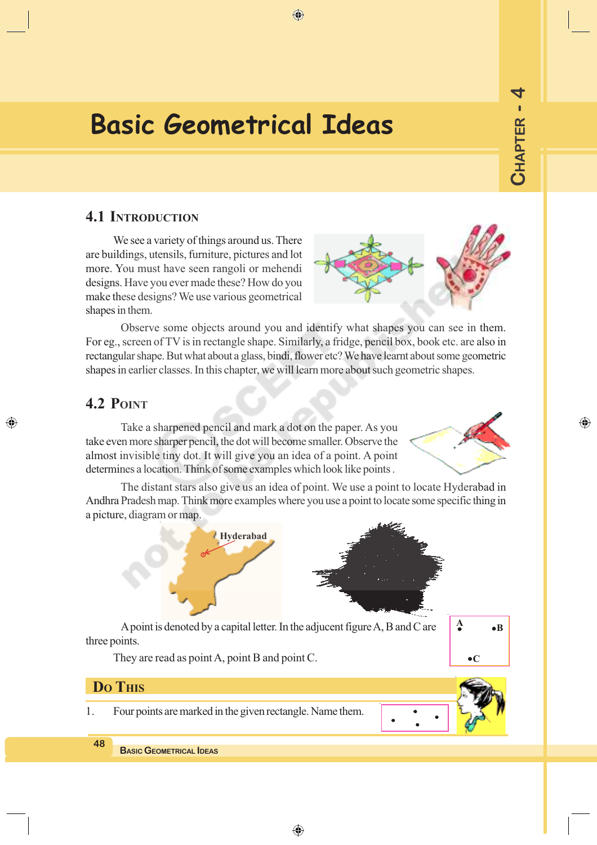# **Basic Geometrical Ideas**

## **4.1 INTRODUCTION**

We see a variety of things around us. There are buildings, utensils, furniture, pictures and lot more. You must have seen rangoli or mehendi designs. Have you ever made these? How do you make these designs? We use various geometrical shapes in them.

Observe some objects around you and identify what shapes you can see in them. For eg., screen of TV is in rectangle shape. Similarly, a fridge, pencil box, book etc. are also in rectangular shape. But what about a glass, bindi, flower etc? We have learnt about some geometric shapes in earlier classes. In this chapter, we will learn more about such geometric shapes.

## **4.2 POINT**

◈

Take a sharpened pencil and mark a dot on the paper. As you take even more sharper pencil, the dot will become smaller. Observe the almost invisible tiny dot. It will give you an idea of a point. A point determines a location. Think of some examples which look like points .

The distant stars also give us an idea of point. We use a point to locate Hyderabad in Andhra Pradesh map. Think more examples where you use a point to locate some specific thing in a picture, diagram or map.



A point is denoted by a capital letter. In the adjucent figure A, B and C are three points.

They are read as point A, point B and point C.

## **DO THIS**

1. Four points are marked in the given rectangle. Name them.



**BASIC GEOMETRICAL IDEAS**



**B**

 $\bullet$  $C$ 



 $\bigoplus$ 

◈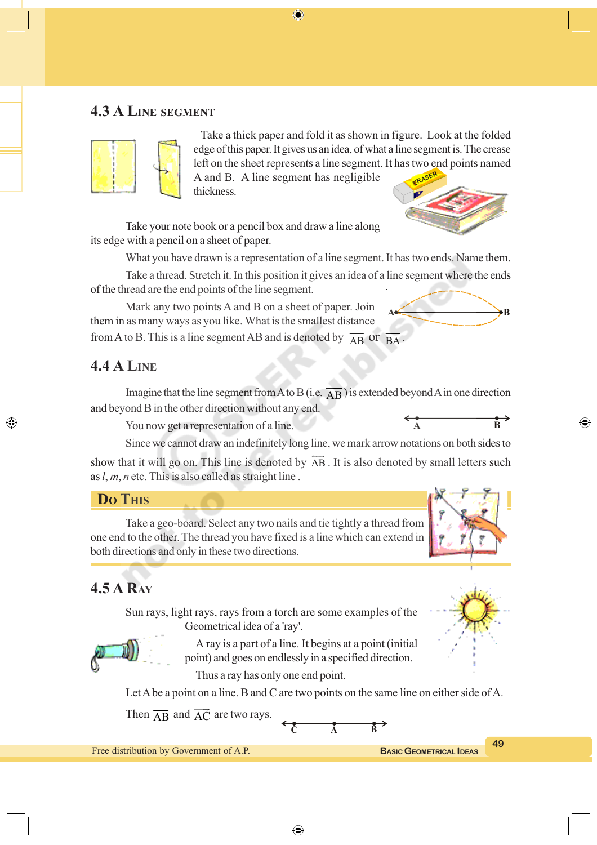## **4.3 A LINE SEGMENT**



Take a thick paper and fold it as shown in figure. Look at the folded edge of this paper. It gives us an idea, of what a line segment is. The crease left on the sheet represents a line segment. It has two end points named

A and B. A line segment has negligible thickness.

⊕

Take your note book or a pencil box and draw a line along its edge with a pencil on a sheet of paper.

What you have drawn is a representation of a line segment. It has two ends. Name them.

Take a thread. Stretch it. In this position it gives an idea of a line segment where the ends of the thread are the end points of the line segment.

Mark any two points A and B on a sheet of paper. Join them in as many ways as you like. What is the smallest distance from A to B. This is a line segment AB and is denoted by  $\overline{AB}$  or  $\overline{BA}$  $A \rightarrow B$ 

#### **4.4 A LINE**

◈

Imagine that the line segment from A to B (i.e.  $\overline{AB}$ ) is extended beyond A in one direction and beyond B in the other direction without any end.

You now get a representation of a line.

Since we cannot draw an indefinitely long line, we mark arrow notations on both sides to

show that it will go on. This line is denoted by AB . It is also denoted by small letters such as *l*, *m*, *n* etc. This is also called as straight line .

#### **DO THIS**

Take a geo-board. Select any two nails and tie tightly a thread from one end to the other. The thread you have fixed is a line which can extend in both directions and only in these two directions.

## **4.5 A RAY**

Sun rays, light rays, rays from a torch are some examples of the Geometrical idea of a 'ray'.

> A ray is a part of a line. It begins at a point (initial point) and goes on endlessly in a specified direction.

Thus a ray has only one end point.

Let A be a point on a line. B and C are two points on the same line on either side of A.

Then  $\overrightarrow{AB}$  $\overline{\phantom{iiiiiiii}}$ and  $\overrightarrow{AC}$  $\overline{\phantom{a}}$ are two rays.

**C A B**

Free distribution by Government of A.P.





**A B**

⊕



**BASIC GEOMETRICAL IDEAS**

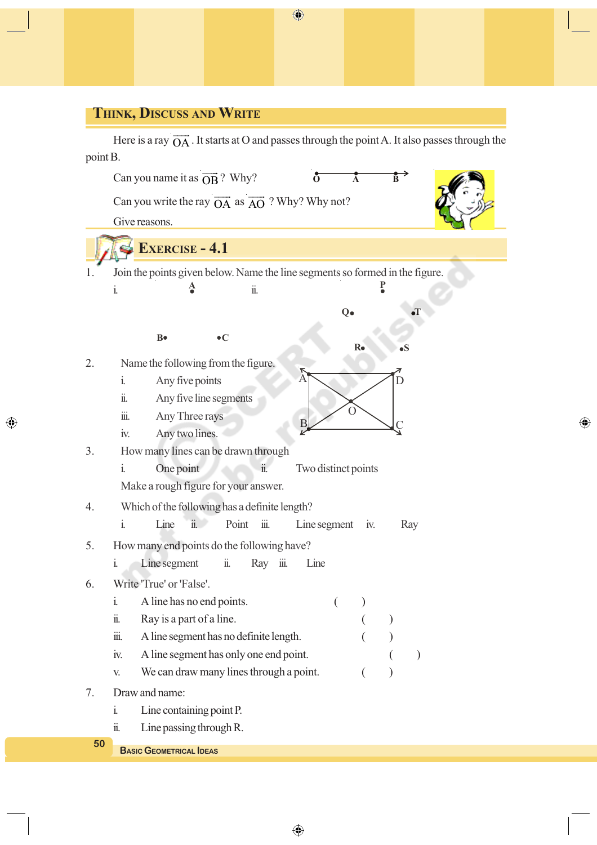## **THINK, DISCUSS AND WRITE**

◈

Here is a ray  $\overrightarrow{OA}$ . It starts at O and passes through the point A. It also passes through the point B.



⊕

◈

 $\bigoplus$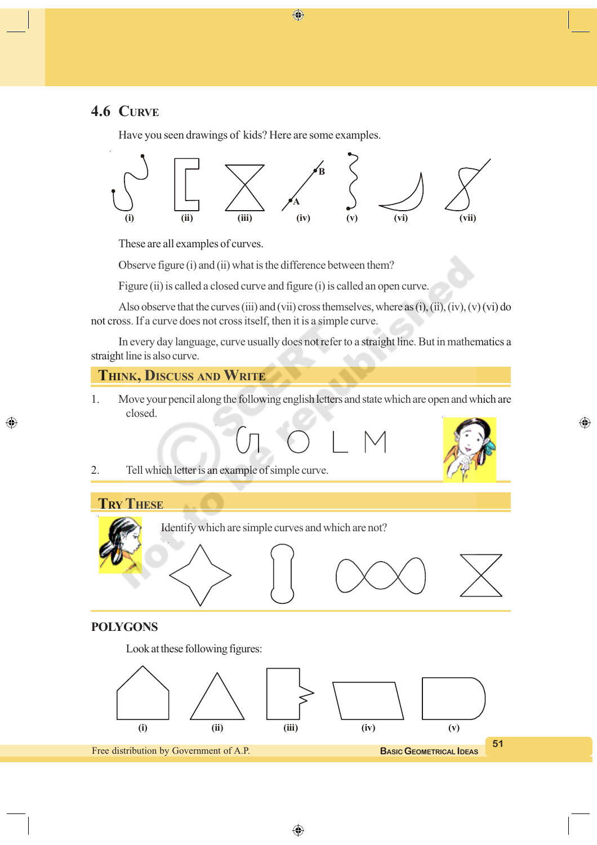## **4.6 CURVE**

Have you seen drawings of kids? Here are some examples.



 $\bigoplus$ 

These are all examples of curves.

Observe figure (i) and (ii) what is the difference between them?

Figure (ii) is called a closed curve and figure (i) is called an open curve.

Also observe that the curves (iii) and (vii) cross themselves, where as  $(i)$ , (ii),  $(iv)$ ,  $(v)$  (vi) do not cross. If a curve does not cross itself, then it is a simple curve.

In every day language, curve usually does not refer to a straight line. But in mathematics a straight line is also curve.

#### **THINK, DISCUSS AND WRITE**

1. Move your pencil along the following english letters and state which are open and which are closed.

$$
M_{\rm c} \subset \Gamma
$$



 $\bigoplus$ 

2. Tell which letter is an example of simple curve.



◈

Identify which are simple curves and which are not?



#### **POLYGONS**

Look at these following figures:

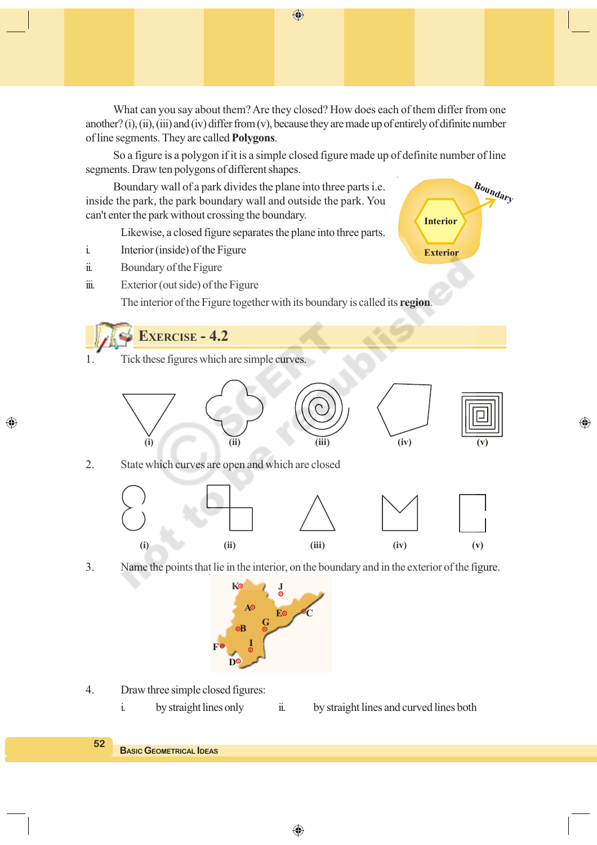What can you say about them? Are they closed? How does each of them differ from one another? (i), (ii), (iii) and (iv) differ from (v), because they are made up of entirely of difinite number of line segments. They are called **Polygons**.

So a figure is a polygon if it is a simple closed figure made up of definite number of line segments. Draw ten polygons of different shapes.

**Interior**

**Exterior**

**Boundary**

◈

Boundary wall of a park divides the plane into three parts i.e. inside the park, the park boundary wall and outside the park. You can't enter the park without crossing the boundary.

Likewise, a closed figure separates the plane into three parts.

- i. Interior (inside) of the Figure
- ii. Boundary of the Figure

◈

iii. Exterior (out side) of the Figure

The interior of the Figure together with its boundary is called its **region**.

## **EXERCISE - 4.2**

1. Tick these figures which are simple curves.



2. State which curves are open and which are closed



3. Name the points that lie in the interior, on the boundary and in the exterior of the figure.



- 4. Draw three simple closed figures:
	- i. by straight lines only ii. by straight lines and curved lines both

 $\bigoplus$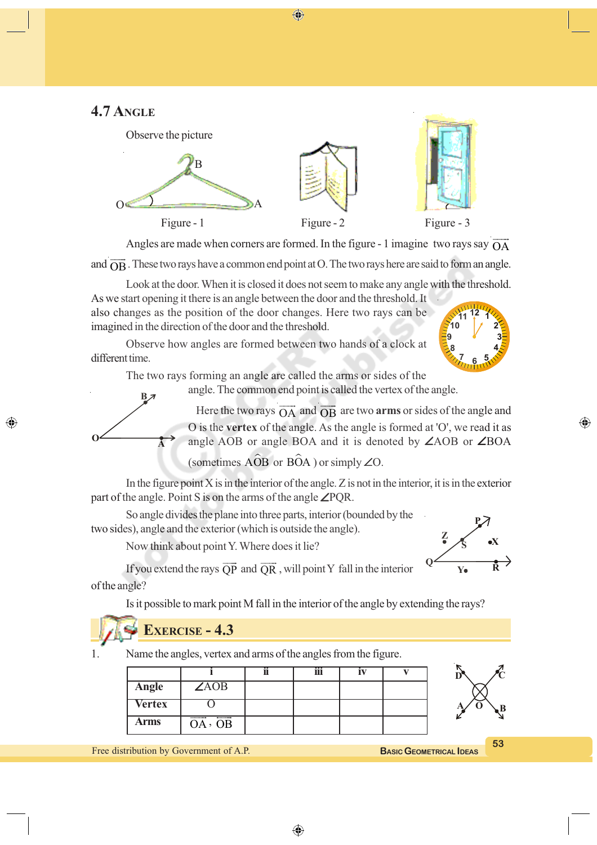⊕

## **4.7 ANGLE**



Angles are made when corners are formed. In the figure - 1 imagine two rays say  $\overrightarrow{OA}$  $\overline{\phantom{a}}$ 

and  $\overrightarrow{OB}$ . These two rays have a common end point at O. The two rays here are said to form an angle.

Look at the door. When it is closed it does not seem to make any angle with the threshold.

As we start opening it there is an angle between the door and the threshold. It also changes as the position of the door changes. Here two rays can be imagined in the direction of the door and the threshold.

Observe how angles are formed between two hands of a clock at different time.

The two rays forming an angle are called the arms or sides of the

angle. The common end point is called the vertex of the angle.

Here the two rays  $\overrightarrow{OA}$  and  $\overrightarrow{OB}$  are two **arms** or sides of the angle and O is the **vertex** of the angle. As the angle is formed at 'O', we read it as angle AOB or angle BOA and it is denoted by ∠AOB or ∠BOA

(sometimes  $\widehat{AOB}$  or  $\widehat{BOA}$  ) or simply ∠O.

In the figure point  $X$  is in the interior of the angle.  $Z$  is not in the interior, it is in the exterior part of the angle. Point S is on the arms of the angle ∠PQR.

So angle divides the plane into three parts, interior (bounded by the two sides), angle and the exterior (which is outside the angle).

Now think about point Y. Where does it lie?



⊕

If you extend the rays  $\overline{QP}$  $\overline{\phantom{a}}$  and QR  $\qquad$ , will point Y fall in the interior of the angle?

Is it possible to mark point M fall in the interior of the angle by extending the rays?

## **EXERCISE - 4.3**

**A**

**B**

**O**

◈

1. Name the angles, vertex and arms of the angles from the figure.

| <b>Angle</b>  | $\angle AOB$      |  |  |
|---------------|-------------------|--|--|
| <b>Vertex</b> |                   |  |  |
| Arms          | $- - -$<br>OA, OB |  |  |

**BASIC GEOMETRICAL IDEAS**

**53**

**D**  $\sqrt{C}$ 

 $\oint$   $\oint$   $\oint$   $B$ 

Free distribution by Government of A.P.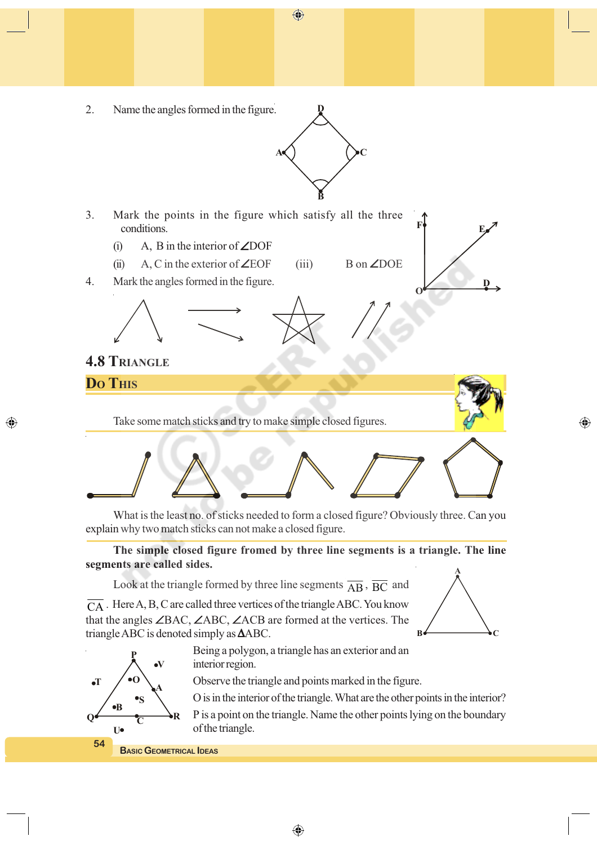**A** ( ) ( ) C

**B**

**D**

2. Name the angles formed in the figure.



- (i) A, B in the interior of  $\angle$ DOF
- (ii) A, C in the exterior of  $\angle EOF$  (iii) B on  $\angle DOE$
- 4. Mark the angles formed in the figure.

**4.8 TRIANGLE**

**DO THIS**

◈

Take some match sticks and try to make simple closed figures.



What is the least no. of sticks needed to form a closed figure? Obviously three. Can you explain why two match sticks can not make a closed figure.

**The simple closed figure fromed by three line segments is a triangle. The line segments are called sides.**

Look at the triangle formed by three line segments  $\overline{AB}$ ,  $\overline{BC}$  and

 $\overline{CA}$ . Here A, B, C are called three vertices of the triangle ABC. You know that the angles ∠BAC, ∠ABC, ∠ACB are formed at the vertices. The triangle ABC is denoted simply as ∆ABC.

> Being a polygon, a triangle has an exterior and an interior region.

> > ⊕

Observe the triangle and points marked in the figure.

O is in the interior of the triangle. What are the other points in the interior?

P is a point on the triangle. Name the other points lying on the boundary of the triangle.



**T**

**P**

 $Q \longleftarrow \frac{Q}{C}$ 

 $\bullet$ **O**

**C**

**A**

**V**

 $\bullet$ B

**U**

**BASIC GEOMETRICAL IDEAS**



**D**

⊕

**O**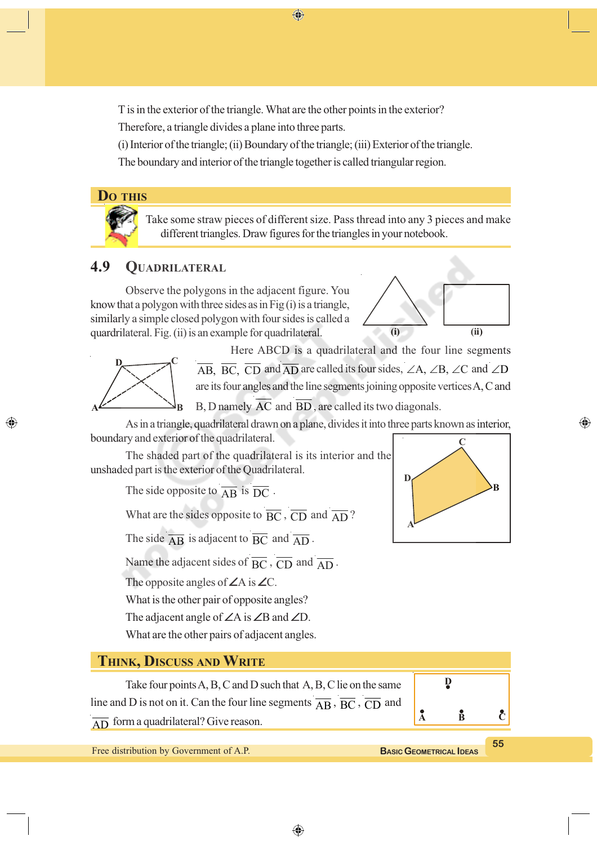⊕

T is in the exterior of the triangle. What are the other points in the exterior?

Therefore, a triangle divides a plane into three parts.

(i) Interior of the triangle; (ii) Boundary of the triangle; (iii) Exterior of the triangle.

The boundary and interior of the triangle together is called triangular region.



Take some straw pieces of different size. Pass thread into any 3 pieces and make different triangles. Draw figures for the triangles in your notebook.

## **4.9 QUADRILATERAL**

Observe the polygons in the adjacent figure. You know that a polygon with three sides as in Fig  $(i)$  is a triangle, similarly a simple closed polygon with four sides is called a quardrilateral. Fig. (ii) is an example for quadrilateral.





⊕

Here ABCD is a quadrilateral and the four line segments  $\overline{AB}$ ,  $\overline{BC}$ ,  $\overline{CD}$  and  $\overline{AD}$  are called its four sides,  $\angle A$ ,  $\angle B$ ,  $\angle C$  and  $\angle D$ are its four angles and the line segments joining opposite vertices A, C and B, D namely AC and BD , are called its two diagonals.

As in a triangle, quadrilateral drawn on a plane, divides it into three parts known as interior, boundary and exterior of the quadrilateral.

The shaded part of the quadrilateral is its interior and the unshaded part is the exterior of the Quadrilateral.

The side opposite to  $\overline{AB}$  is  $\overline{DC}$ .

What are the sides opposite to  $\overline{BC}$ ,  $\overline{CD}$  and  $\overline{AD}$ ?

The side  $\overline{AB}$  is adjacent to  $\overline{BC}$  and  $\overline{AD}$ .

Name the adjacent sides of  $\overline{BC}$ ,  $\overline{CD}$  and  $\overline{AD}$ .

The opposite angles of ∠A is ∠C.

What is the other pair of opposite angles?

The adjacent angle of ∠A is ∠B and ∠D.

What are the other pairs of adjacent angles.

## **THINK, DISCUSS AND WRITE**

Take four points A, B, C and D such that A, B, C lie on the same line and D is not on it. Can the four line segments  $\overline{AB}$ ,  $\overline{BC}$ ,  $\overline{CD}$  and  $\overline{AD}$  form a quadrilateral? Give reason.

Free distribution by Government of A.P.



⊕

**A B C**

**D**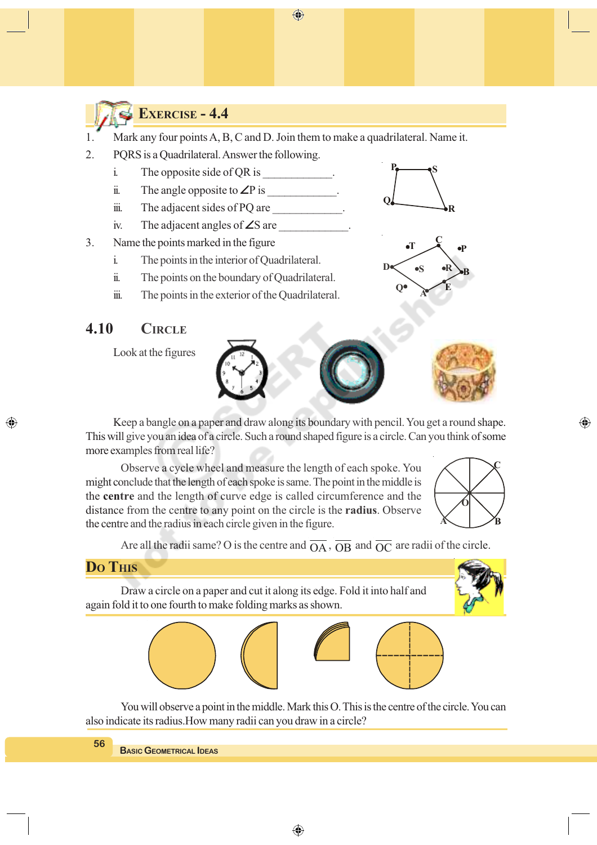$\bigoplus$ 



## **EXERCISE - 4.4**

- 1. Mark any four points A, B, C and D. Join them to make a quadrilateral. Name it.
- 2. PQRS is a Quadrilateral. Answer the following.
	- i. The opposite side of OR is
	- ii. The angle opposite to ∠P is  $\blacksquare$
	- $\dddot{\mathbf{m}}$ . The adjacent sides of PQ are  $\dddot{\mathbf{m}}$ .
	- iv. The adjacent angles of  $\angle$ S are
- 3. Name the points marked in the figure
	- i. The points in the interior of Quadrilateral.
	- ii. The points on the boundary of Quadrilateral.
	- iii. The points in the exterior of the Quadrilateral.

## **4.10 CIRCLE**

Look at the figures



**P**

**R**

**E**

**B**

**P**

**S**

**C**

**A**

**T**

**Q**

 $\overline{D}$  **S R** 

**Q**

Keep a bangle on a paper and draw along its boundary with pencil. You get a round shape. This will give you an idea of a circle. Such a round shaped figure is a circle. Can you think of some more examples from real life?

Observe a cycle wheel and measure the length of each spoke. You might conclude that the length of each spoke is same. The point in the middle is the **centre** and the length of curve edge is called circumference and the distance from the centre to any point on the circle is the **radius**. Observe the centre and the radius in each circle given in the figure.



⊕

Are all the radii same? O is the centre and  $\overline{OA}$ ,  $\overline{OB}$  and  $\overline{OC}$  are radii of the circle.



◈

Draw a circle on a paper and cut it along its edge. Fold it into half and again fold it to one fourth to make folding marks as shown.







You will observe a point in the middle. Mark this O. This is the centre of the circle. You can also indicate its radius.How many radii can you draw in a circle?

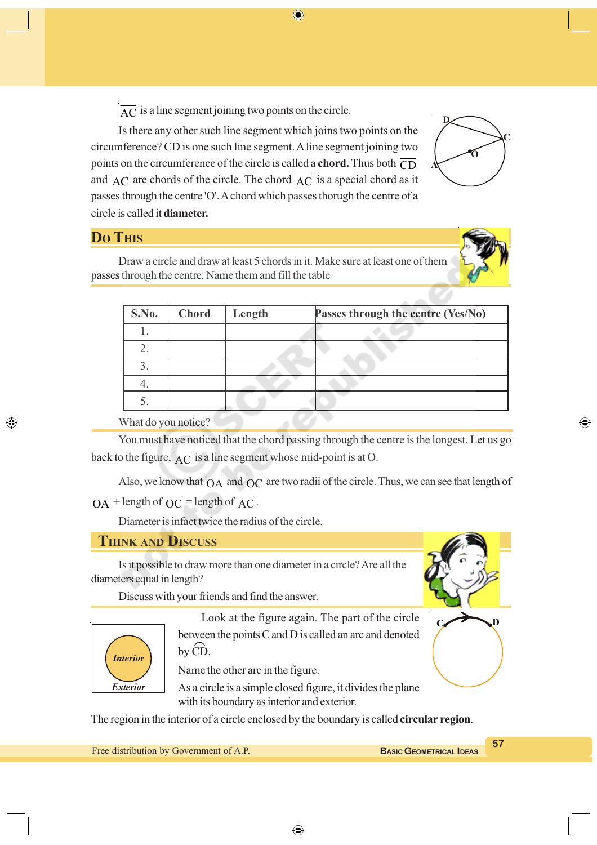$\overline{AC}$  is a line segment joining two points on the circle.

Is there any other such line segment which joins two points on the circumference? CD is one such line segment. A line segment joining two points on the circumference of the circle is called a **chord.** Thus both  $\overline{CD}$ and  $\overline{AC}$  are chords of the circle. The chord  $\overline{AC}$  is a special chord as it passes through the centre 'O'. A chord which passes thorugh the centre of a circle is called it **diameter.**

⊕



## **DO THIS**

◈

Draw a circle and draw at least 5 chords in it. Make sure at least one of them passes through the centre. Name them and fill the table

| S.No. | <b>Chord</b> | Length | Passes through the centre (Yes/No) |
|-------|--------------|--------|------------------------------------|
|       |              |        |                                    |
|       |              |        |                                    |
| 3     |              |        |                                    |
|       |              |        |                                    |
|       |              |        |                                    |

What do you notice?

You must have noticed that the chord passing through the centre is the longest. Let us go back to the figure,  $\overline{AC}$  is a line segment whose mid-point is at O.

 $\sim$   $\sim$   $\sim$ 

Also, we know that  $\overline{OA}$  and  $\overline{OC}$  are two radii of the circle. Thus, we can see that length of  $\overline{OA}$  + length of  $\overline{OC}$  = length of  $\overline{AC}$ .

Diameter is infact twice the radius of the circle.

#### **THINK AND DISCUSS**

Is it possible to draw more than one diameter in a circle? Are all the diameters equal in length?

Discuss with your friends and find the answer.



Look at the figure again. The part of the circle between the points C and D is called an arc and denoted by CD.

Name the other arc in the figure.

As a circle is a simple closed figure, it divides the plane with its boundary as interior and exterior.

The region in the interior of a circle enclosed by the boundary is called **circular region**.

Free distribution by Government of A.P.

◈

**C D**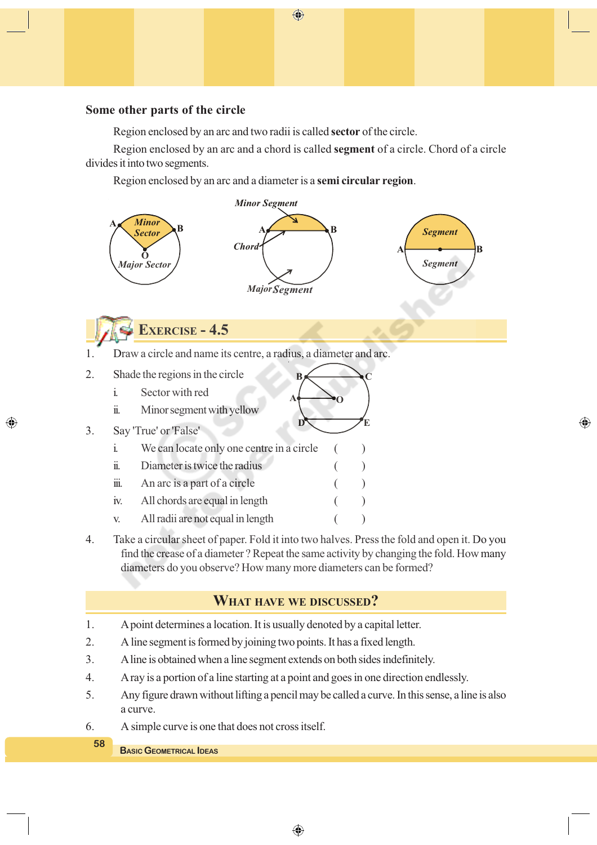#### **Some other parts of the circle**

Region enclosed by an arc and two radii is called **sector** of the circle.

Region enclosed by an arc and a chord is called **segment** of a circle. Chord of a circle divides it into two segments.

 $\bigoplus$ 

Region enclosed by an arc and a diameter is a **semi circular region**.



⊕

4. Take a circular sheet of paper. Fold it into two halves. Press the fold and open it. Do you find the crease of a diameter ? Repeat the same activity by changing the fold. How many diameters do you observe? How many more diameters can be formed?

#### **WHAT HAVE WE DISCUSSED?**

- 1. A point determines a location. It is usually denoted by a capital letter.
- 2. A line segment is formed by joining two points. It has a fixed length.
- 3. A line is obtained when a line segment extends on both sides indefinitely.
- 4. A ray is a portion of a line starting at a point and goes in one direction endlessly.
- 5. Any figure drawn without lifting a pencil may be called a curve. In this sense, a line is also a curve.
- 6. A simple curve is one that does not cross itself.

#### **BASIC GEOMETRICAL IDEAS**

**58**

◈